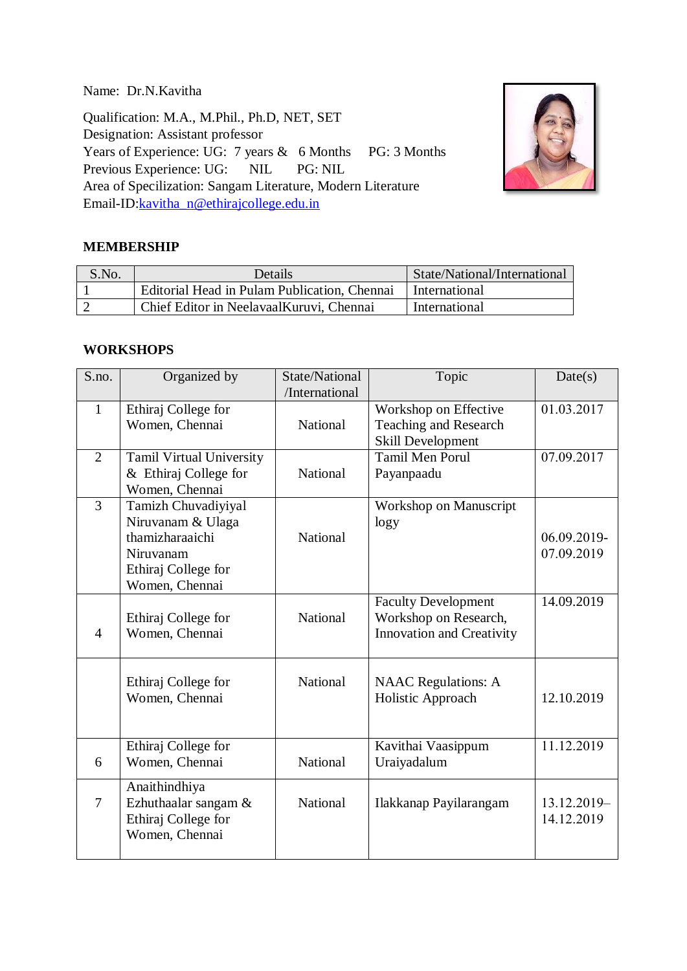Name: Dr.N.Kavitha

Qualification: M.A., M.Phil., Ph.D, NET, SET Designation: Assistant professor Years of Experience: UG: 7 years & 6 Months PG: 3 Months Previous Experience: UG: NIL PG: NIL Area of Specilization: Sangam Literature, Modern Literature Email-ID[:kavitha\\_n@ethirajcollege.edu.in](mailto:xxxx@ethirajcollege.edu.in)



## **MEMBERSHIP**

| S.No. | Details                                      | State/National/International |
|-------|----------------------------------------------|------------------------------|
|       | Editorial Head in Pulam Publication, Chennai | International                |
|       | Chief Editor in NeelavaalKuruvi, Chennai     | International                |

#### **WORKSHOPS**

| S.no.          | Organized by                          | State/National | Topic                      | Date(s)     |
|----------------|---------------------------------------|----------------|----------------------------|-------------|
|                |                                       | /International |                            |             |
| $\mathbf{1}$   | Ethiraj College for                   |                | Workshop on Effective      | 01.03.2017  |
|                | Women, Chennai                        | National       | Teaching and Research      |             |
|                |                                       |                | <b>Skill Development</b>   |             |
| $\overline{2}$ | Tamil Virtual University              |                | <b>Tamil Men Porul</b>     | 07.09.2017  |
|                | & Ethiraj College for                 | National       | Payanpaadu                 |             |
|                | Women, Chennai                        |                |                            |             |
| $\overline{3}$ | Tamizh Chuvadiyiyal                   |                | Workshop on Manuscript     |             |
|                | Niruvanam & Ulaga                     |                | $\log y$                   |             |
|                | thamizharaaichi                       | National       |                            | 06.09.2019- |
|                | Niruvanam                             |                |                            | 07.09.2019  |
|                | Ethiraj College for                   |                |                            |             |
|                | Women, Chennai                        |                |                            |             |
|                |                                       |                | <b>Faculty Development</b> | 14.09.2019  |
|                | Ethiraj College for                   | National       | Workshop on Research,      |             |
| $\overline{4}$ | Women, Chennai                        |                | Innovation and Creativity  |             |
|                |                                       |                |                            |             |
|                |                                       | National       |                            |             |
|                | Ethiraj College for<br>Women, Chennai |                | <b>NAAC</b> Regulations: A | 12.10.2019  |
|                |                                       |                | Holistic Approach          |             |
|                |                                       |                |                            |             |
|                | Ethiraj College for                   |                | Kavithai Vaasippum         | 11.12.2019  |
| 6              | Women, Chennai                        | National       | Uraiyadalum                |             |
|                |                                       |                |                            |             |
|                | Anaithindhiya                         |                |                            |             |
| $\overline{7}$ | Ezhuthaalar sangam &                  | National       | Ilakkanap Payilarangam     | 13.12.2019- |
|                | Ethiraj College for                   |                |                            | 14.12.2019  |
|                | Women, Chennai                        |                |                            |             |
|                |                                       |                |                            |             |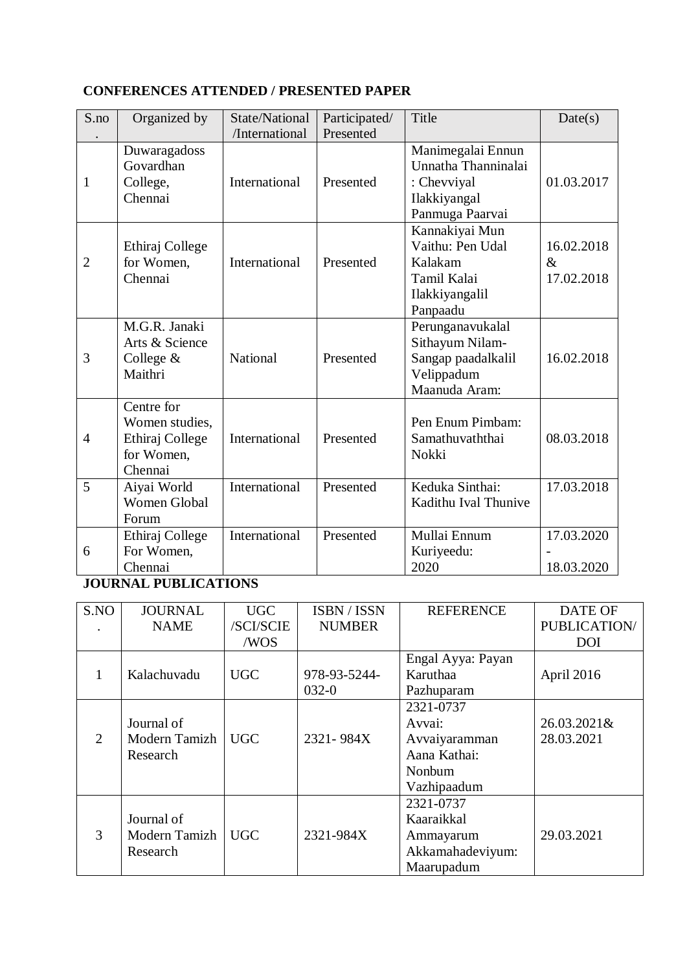# **CONFERENCES ATTENDED / PRESENTED PAPER**

| S.no           | Organized by                                                             | State/National<br>/International | Participated/<br>Presented | Title                                                                                      | Date(s)                          |
|----------------|--------------------------------------------------------------------------|----------------------------------|----------------------------|--------------------------------------------------------------------------------------------|----------------------------------|
| 1              | Duwaragadoss<br>Govardhan<br>College,<br>Chennai                         | International                    | Presented                  | Manimegalai Ennun<br>Unnatha Thanninalai<br>: Chevviyal<br>Ilakkiyangal<br>Panmuga Paarvai | 01.03.2017                       |
| $\overline{2}$ | Ethiraj College<br>for Women,<br>Chennai                                 | International                    | Presented                  | Kannakiyai Mun<br>Vaithu: Pen Udal<br>Kalakam<br>Tamil Kalai<br>Ilakkiyangalil<br>Panpaadu | 16.02.2018<br>$\&$<br>17.02.2018 |
| 3              | M.G.R. Janaki<br>Arts & Science<br>College $&$<br>Maithri                | National                         | Presented                  | Perunganavukalal<br>Sithayum Nilam-<br>Sangap paadalkalil<br>Velippadum<br>Maanuda Aram:   | 16.02.2018                       |
| $\overline{4}$ | Centre for<br>Women studies,<br>Ethiraj College<br>for Women,<br>Chennai | International                    | Presented                  | Pen Enum Pimbam:<br>Samathuvaththai<br>Nokki                                               | 08.03.2018                       |
| 5              | Aiyai World<br>Women Global<br>Forum                                     | International                    | Presented                  | Keduka Sinthai:<br>Kadithu Ival Thunive                                                    | 17.03.2018                       |
| 6              | Ethiraj College<br>For Women,<br>Chennai                                 | International                    | Presented                  | Mullai Ennum<br>Kuriyeedu:<br>2020                                                         | 17.03.2020<br>18.03.2020         |

# **JOURNAL PUBLICATIONS**

| S.NO | <b>JOURNAL</b> | <b>UGC</b> | ISBN / ISSN   | <b>REFERENCE</b>  | <b>DATE OF</b> |
|------|----------------|------------|---------------|-------------------|----------------|
|      | <b>NAME</b>    | /SCI/SCIE  | <b>NUMBER</b> |                   | PUBLICATION/   |
|      |                | /WOS       |               |                   | <b>DOI</b>     |
|      |                |            |               | Engal Ayya: Payan |                |
|      | Kalachuvadu    | <b>UGC</b> | 978-93-5244-  | Karuthaa          | April 2016     |
|      |                |            | $032-0$       | Pazhuparam        |                |
|      |                |            |               | 2321-0737         |                |
|      | Journal of     |            |               | Avvai:            | 26.03.2021&    |
| 2    | Modern Tamizh  | <b>UGC</b> | 2321-984X     | Avvaiyaramman     | 28.03.2021     |
|      | Research       |            |               | Aana Kathai:      |                |
|      |                |            |               | Nonbum            |                |
|      |                |            |               | Vazhipaadum       |                |
|      |                |            |               | 2321-0737         |                |
|      | Journal of     |            |               | Kaaraikkal        |                |
| 3    | Modern Tamizh  | <b>UGC</b> | 2321-984X     | Ammayarum         | 29.03.2021     |
|      | Research       |            |               | Akkamahadeviyum:  |                |
|      |                |            |               | Maarupadum        |                |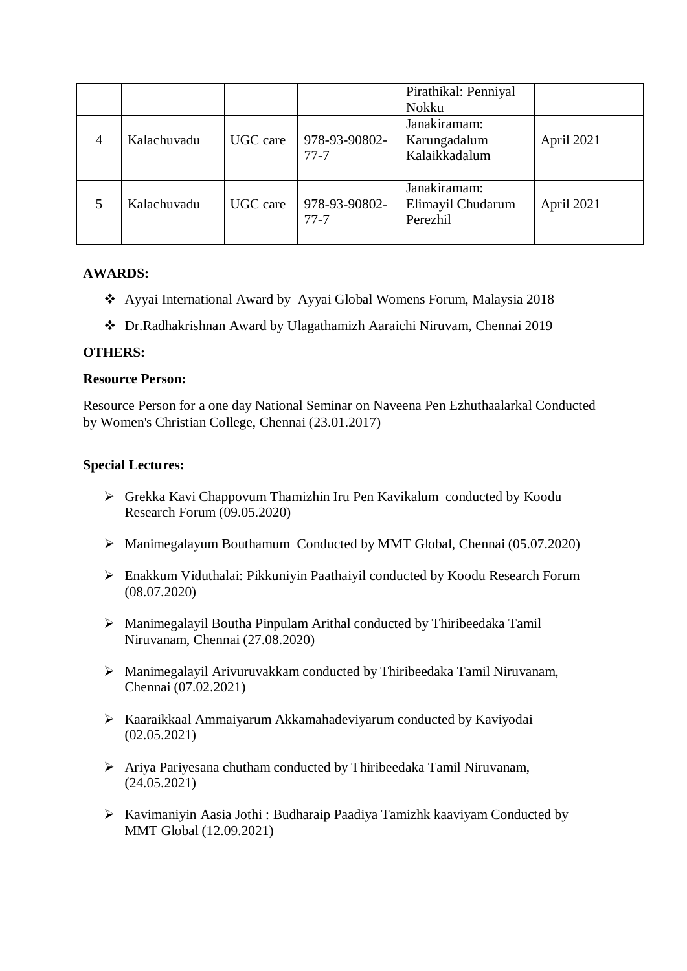|                |             |          |                           | Pirathikal: Penniyal<br>Nokku                 |            |
|----------------|-------------|----------|---------------------------|-----------------------------------------------|------------|
| $\overline{4}$ | Kalachuvadu | UGC care | 978-93-90802-<br>$77 - 7$ | Janakiramam:<br>Karungadalum<br>Kalaikkadalum | April 2021 |
|                | Kalachuvadu | UGC care | 978-93-90802-<br>$77-7$   | Janakiramam:<br>Elimayil Chudarum<br>Perezhil | April 2021 |

### **AWARDS:**

- Ayyai International Award by Ayyai Global Womens Forum, Malaysia 2018
- Dr.Radhakrishnan Award by Ulagathamizh Aaraichi Niruvam, Chennai 2019

#### **OTHERS:**

#### **Resource Person:**

Resource Person for a one day National Seminar on Naveena Pen Ezhuthaalarkal Conducted by Women's Christian College, Chennai (23.01.2017)

#### **Special Lectures:**

- Grekka Kavi Chappovum Thamizhin Iru Pen Kavikalum conducted by Koodu Research Forum (09.05.2020)
- Manimegalayum Bouthamum Conducted by MMT Global, Chennai (05.07.2020)
- Enakkum Viduthalai: Pikkuniyin Paathaiyil conducted by Koodu Research Forum (08.07.2020)
- Manimegalayil Boutha Pinpulam Arithal conducted by Thiribeedaka Tamil Niruvanam, Chennai (27.08.2020)
- Manimegalayil Arivuruvakkam conducted by Thiribeedaka Tamil Niruvanam, Chennai (07.02.2021)
- Kaaraikkaal Ammaiyarum Akkamahadeviyarum conducted by Kaviyodai (02.05.2021)
- Ariya Pariyesana chutham conducted by Thiribeedaka Tamil Niruvanam, (24.05.2021)
- Kavimaniyin Aasia Jothi : Budharaip Paadiya Tamizhk kaaviyam Conducted by MMT Global (12.09.2021)